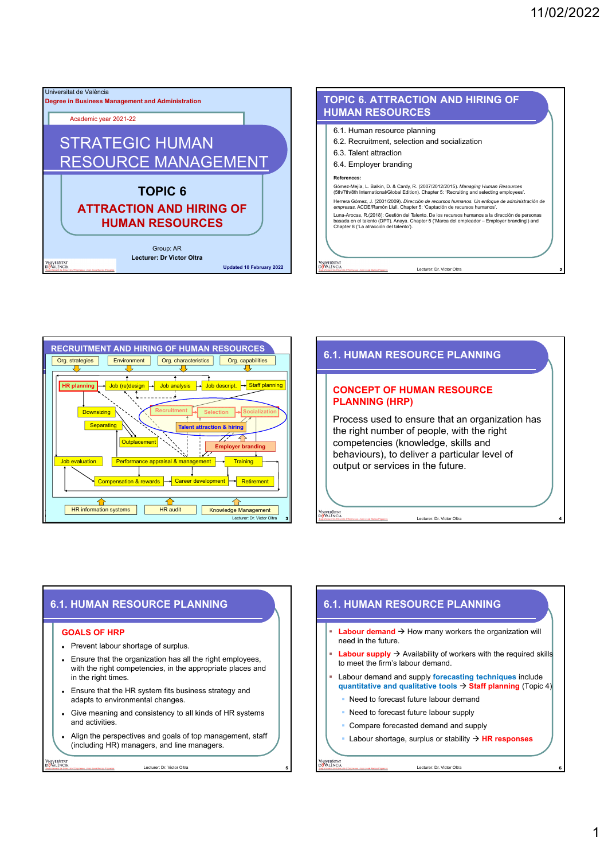





## **6.1. HUMAN RESOURCE PLANNING**

## **GOALS OF HRP**

- Prevent labour shortage of surplus.
- Ensure that the organization has all the right employees, with the right competencies, in the appropriate places and in the right times.
- Ensure that the HR system fits business strategy and adapts to environmental changes.
- Give meaning and consistency to all kinds of HR systems and activities.
- Align the perspectives and goals of top management, staff (including HR) managers, and line managers.

/<mark>niver</mark>§itat<br>d<mark>ö</mark> València

Lecturer: Dr. Victor Oltra 5

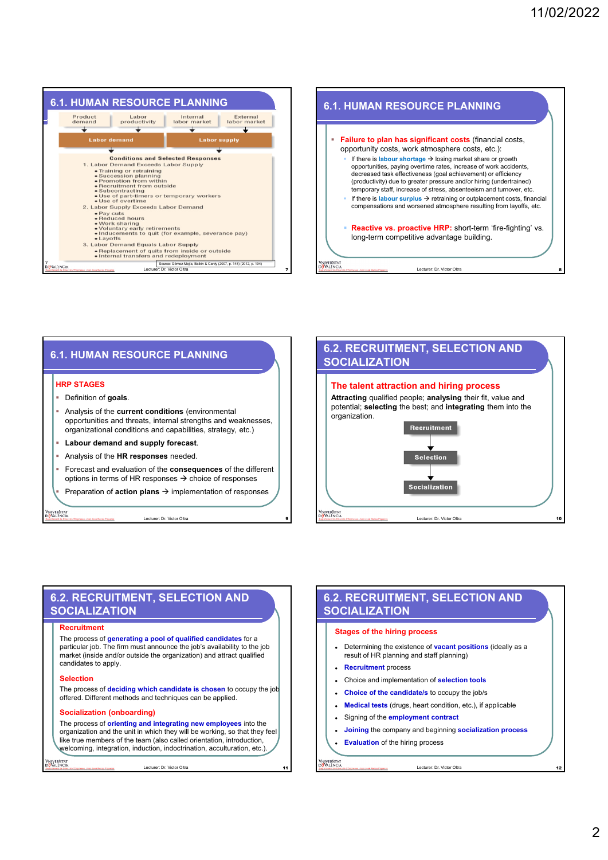





# **6.2. RECRUITMENT, SELECTION AND SOCIALIZATION The talent attraction and hiring process Attracting** qualified people; **analysing** their fit, value and potential; **selecting** the best; and **integrating** them into the organization. Recruitment **Selection**

Lecturer: Dr. Victor Oltra

**Socialization** 

## **6.2. RECRUITMENT, SELECTION AND SOCIALIZATION**

### **Recruitment**

The process of **generating a pool of qualified candidates** for a particular job. The firm must announce the job's availability to the job market (inside and/or outside the organization) and attract qualified candidates to apply.

## **Selection**

The process of **deciding which candidate is chosen** to occupy the job offered. Different methods and techniques can be applied.

## **Socialization (onboarding)**

The process of **orienting and integrating new employees** into the organization and the unit in which they will be working, so that they feel like true members of the team (also called orientation, introduction, welcoming, integration, induction, indoctrination, acculturation, etc.)

niver§it<mark>at</mark><br>ÖValència

Lecturer: Dr. Victor Oltra

## **6.2. RECRUITMENT, SELECTION AND SOCIALIZATION**

## **Stages of the hiring process**

- Determining the existence of **vacant positions** (ideally as a result of HR planning and staff planning)
- **Recruitment** process
- Choice and implementation of **selection tools**
- **Choice of the candidate/s** to occupy the job/s
- **Medical tests** (drugs, heart condition, etc.), if applicable
- Signing of the **employment contract**
- **Joining** the company and beginning **socialization process**

Lecturer: Dr. Victor Oltra

**Evaluation** of the hiring process

### .<br>Vniveršitat<br>döValència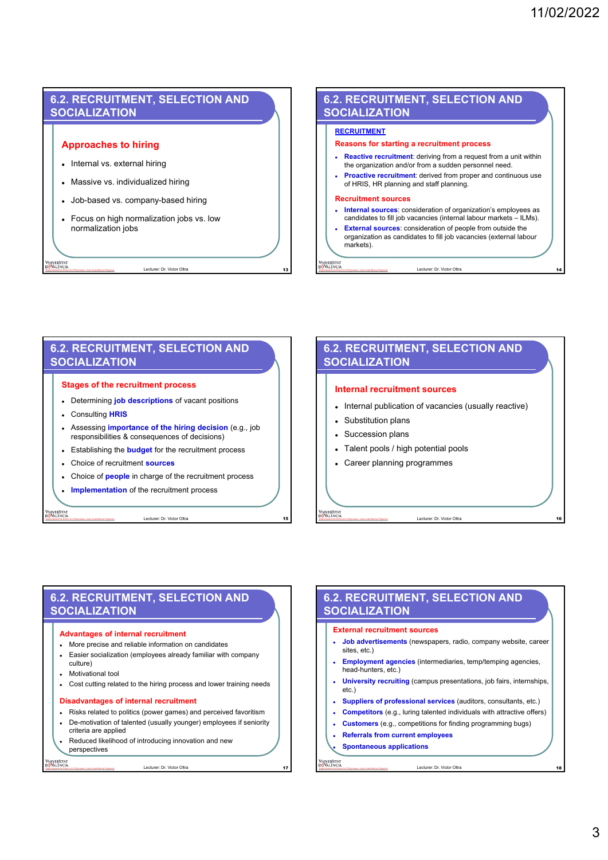

## Lecturer: Dr. Victor Oltra **RECRUITMENT Reasons for starting a recruitment process Reactive recruitment**: deriving from a request from a unit within the organization and/or from a sudden personnel need. **Proactive recruitment**: derived from proper and continuous use of HRIS, HR planning and staff planning. **Recruitment sources Internal sources**: consideration of organization's employees as candidates to fill job vacancies (internal labour markets – ILMs). **External sources**: consideration of people from outside the organization as candidates to fill job vacancies (external labour markets). **6.2. RECRUITMENT, SELECTION AND SOCIALIZATION**

# **6.2. RECRUITMENT, SELECTION AND SOCIALIZATION**

## **Stages of the recruitment process**

- Determining **job descriptions** of vacant positions
- Consulting **HRIS**
- Assessing **importance of the hiring decision** (e.g., job
- responsibilities & consequences of decisions) Establishing the **budget** for the recruitment process
- Choice of recruitment **sources**
- Choice of **people** in charge of the recruitment process

Lecturer: Dr. Victor Oltra

**Implementation** of the recruitment process

# **6.2. RECRUITMENT, SELECTION AND SOCIALIZATION**

## **Internal recruitment sources**

- Internal publication of vacancies (usually reactive)
- Substitution plans
- Succession plans

**VNIVERSITAT**<br>IDÖVALÈNCIA

- Talent pools / high potential pools
- Career planning programmes

## **6.2. RECRUITMENT, SELECTION AND SOCIALIZATION**

### **Advantages of internal recruitment**

- More precise and reliable information on candidates
- Easier socialization (employees already familiar with company culture)
- Motivational tool
- Cost cutting related to the hiring process and lower training needs

## **Disadvantages of internal recruitment**

- Risks related to politics (power games) and perceived favoritism
- De-motivation of talented (usually younger) employees if seniority criteria are applied
- Reduced likelihood of introducing innovation and new perspectives

.<br>Miver§itat<br>I<mark>ğ</mark>València

.<br>Vniveršitat<br>döValència

## Lecturer: Dr. Victor Oltra

# **6.2. RECRUITMENT, SELECTION AND SOCIALIZATION**

### **External recruitment sources**

 **Job advertisements** (newspapers, radio, company website, career sites, etc.)

Lecturer: Dr. Victor Oltra

- **Employment agencies** (intermediaries, temp/temping agencies, head-hunters, etc.)
- **University recruiting** (campus presentations, job fairs, internships, etc.)
- **Suppliers of professional services** (auditors, consultants, etc.)

Lecturer: Dr. Victor Oltra

- **Competitors** (e.g., luring talented individuals with attractive offers)
- **Customers** (e.g., competitions for finding programming bugs) **Referrals from current employees**
- **Spontaneous applications**
- 

.<br>Vniveršitat<br>döValència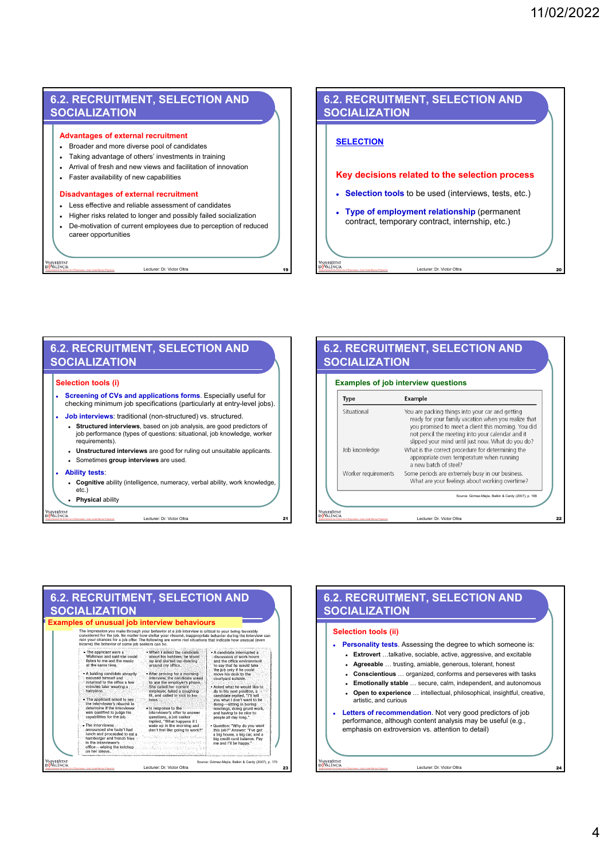# **6.2. RECRUITMENT, SELECTION AND SOCIALIZATION**

### **Advantages of external recruitment**

- Broader and more diverse pool of candidates
- Taking advantage of others' investments in training
- Arrival of fresh and new views and facilitation of innovation
- Faster availability of new capabilities

### **Disadvantages of external recruitment**

- Less effective and reliable assessment of candidates
- Higher risks related to longer and possibly failed socialization
- De-motivation of current employees due to perception of reduced career opportunities

niveršitat<br><mark>A</mark>València

Lecturer: Dr. Victor Oltra

# **SELECTION Key decisions related to the selection process Selection tools** to be used (interviews, tests, etc.) **6.2. RECRUITMENT, SELECTION AND SOCIALIZATION**

 **Type of employment relationship** (permanent contract, temporary contract, internship, etc.)

Lecturer: Dr. Victor Oltra

**6.2. RECRUITMENT, SELECTION AND SOCIALIZATION**

### **Selection tools (i)**

- **Screening of CVs and applications forms**. Especially useful for checking minimum job specifications (particularly at entry-level jobs).
- **Job interviews**: traditional (non-structured) vs. structured.
	- **Structured interviews**, based on job analysis, are good predictors of job performance (types of questions: situational, job knowledge, worker requirements).
	- **Unstructured interviews** are good for ruling out unsuitable applicants.
	- Sometimes **group interviews** are used.

### **Ability tests**:

- **Cognitive** ability (intelligence, numeracy, verbal ability, work knowledge,
- etc.)

.<br>Vniveršitat<br>idišVaj šncia

**Physical** ability

Lecturer: Dr. Victor Oltra

# **6.2. RECRUITMENT, SELECTION AND SOCIALIZATION**

#### **Examples of job interview questions**  $\overline{\phantom{a}}$  Type Example

/<mark>niver</mark>§itat<br>d<mark>ř</mark> València

| Situational         | You are packing things into your car and getting<br>ready for your family vacation when you realize that<br>you promised to meet a client this morning. You did<br>not pencil the meeting into your calendar and it |
|---------------------|---------------------------------------------------------------------------------------------------------------------------------------------------------------------------------------------------------------------|
| Job knowledge       | slipped your mind until just now. What do you do?<br>What is the correct procedure for determining the<br>appropriate oven temperature when running                                                                 |
| Worker requirements | a new batch of steel?<br>Some periods are extremely busy in our business.<br>What are your feelings about working overtime?                                                                                         |
|                     | Source: Gómez-Mejía, Balkin & Cardy (2007), p. 168                                                                                                                                                                  |



## **6.2. RECRUITMENT, SELECTION AND SOCIALIZATION**

### **Selection tools (ii)**

.<br>Vniveršitat<br>döValència

- **Personality tests**. Assessing the degree to which someone is:
	- **Extrovert** …talkative, sociable, active, aggressive, and excitable
	- **Agreeable** … trusting, amiable, generous, tolerant, honest
	- **Conscientious** … organized, conforms and perseveres with tasks
	- **Emotionally stable** … secure, calm, independent, and autonomous
	- **Open to experience** … intellectual, philosophical, insightful, creative, artistic, and curious
- **Letters of recommendation**. Not very good predictors of job performance, although content analysis may be useful (e.g., emphasis on extroversion vs. attention to detail)

Lecturer: Dr. Victor Oltra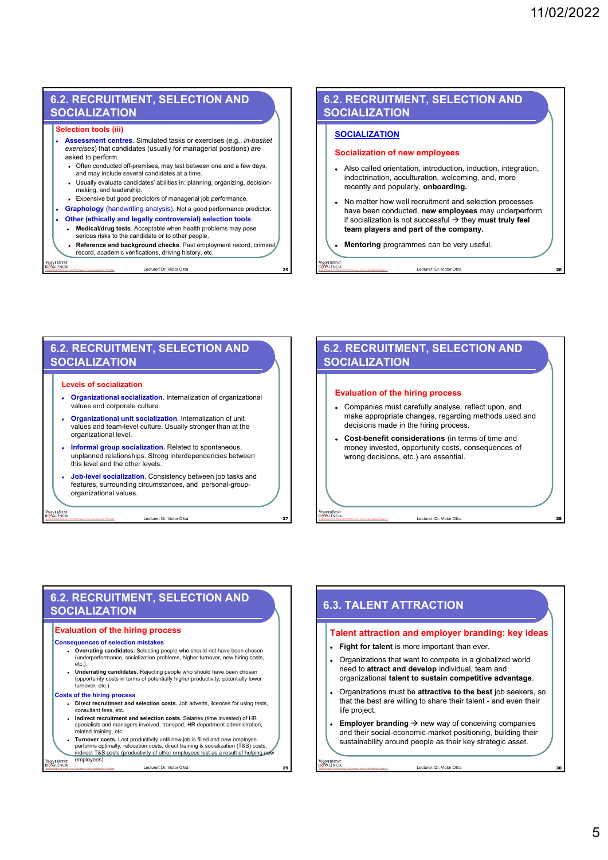# **6.2. RECRUITMENT, SELECTION AND SOCIALIZATION**

### **Selection tools (iii)**

- **Assessment centres**. Simulated tasks or exercises (e.g., *in-basket exercises*) that candidates (usually for managerial positions) are asked to perform. Often conducted off-premises, may last between one and a few days,
- and may include several candidates at a time. Usually evaluate candidates' abilities in: planning, organizing, decisionmaking, and leadership.
- Expensive but good predictors of managerial job performance.
- **Graphology** (handwriting analysis). Not a good performance predictor.
- **Other (ethically and legally controversial) selection tools**: **Medical/drug tests**. Acceptable when health problems may pose serious risks to the candidate or to other people.
	- **Reference and background checks**. Past employment record, criminal record, academic verifications, driving history, etc.

.<br>Viver§itat<br>FValència

.<br>Vniveršitat<br>idišValēncia

,<br>Aiver§itat<br>d<mark>ö</mark>València

Lecturer: Dr. Victor Oltra

# **6.2. RECRUITMENT, SELECTION AND SOCIALIZATION**

## **SOCIALIZATION**

## **Socialization of new employees**

- Also called orientation, introduction, induction, integration, indoctrination, acculturation, welcoming, and, more recently and popularly, **onboarding.**
- No matter how well recruitment and selection processes have been conducted, **new employees** may underperform if socialization is not successful  $\rightarrow$  they must truly feel **team players and part of the company.**

Lecturer: Dr. Victor Oltra

**Mentoring** programmes can be very useful.

/<mark>niver</mark>§itat<br>d<mark>ř</mark> València

**VNIVERSITAT**<br>IDÖVALÈNCIA

## **6.2. RECRUITMENT, SELECTION AND SOCIALIZATION**

### **Levels of socialization**

- **Organizational socialization**. Internalization of organizational values and corporate culture.
- **Organizational unit socialization**. Internalization of unit values and team-level culture. Usually stronger than at the organizational level.
- **Informal group socialization.** Related to spontaneous, unplanned relationships. Strong interdependencies between this level and the other levels.
- **Job-level socialization.** Consistency between job tasks and features, surrounding circumstances, and personal-grouporganizational values.

Lecturer: Dr. Victor Oltra

# **6.2. RECRUITMENT, SELECTION AND SOCIALIZATION**

### **Evaluation of the hiring process**

 Companies must carefully analyse, reflect upon, and make appropriate changes, regarding methods used and decisions made in the hiring process.

Lecturer: Dr. Victor Oltra

 **Cost-benefit considerations** (in terms of time and money invested, opportunity costs, consequences of wrong decisions, etc.) are essential.

# **6.2. RECRUITMENT, SELECTION AND SOCIALIZATION**

## **Evaluation of the hiring process**

### **Consequences of selection mistakes**

- **Overrating candidates.** Selecting people who should not have been chosen (underperformance, socialization problems, higher turnover, new hiring costs,  $\rho$
- **Underrating candidates.** Rejecting people who should have been chosen (opportunity costs in terms of potentially higher productivity, potentially lower turnover, etc.).

**Costs of the hiring process**

- **Direct recruitment and selection costs.** Job adverts, licences for using tests, consultant fees, etc.
- **Indirect recruitment and selection costs.** Salaries (time invested) of HR specialists and managers involved, transport, HR department administration, related training, etc.
- Turnover costs. Lost productivity until new job is filled and new emple performs optimally, relocation costs, direct training & socialization (T&S) costs indirect T&S costs (productivity of other employees lost as a result of helping new<br>employees).

er: Dr. Victor Oltra

# **6.3. TALENT ATTRACTION**

## **Talent attraction and employer branding: key ideas**

- **Fight for talent** is more important than ever.
- Organizations that want to compete in a globalized world need to **attract and develop** individual, team and organizational **talent to sustain competitive advantage**.
- Organizations must be **attractive to the best** job seekers, so that the best are willing to share their talent - and even their life project.
- **Employer branding**  $\rightarrow$  **new way of conceiving companies** and their social-economic-market positioning, building their sustainability around people as their key strategic asset.

Lecturer: Dr. Victor Oltra

.<br>Vniveršitat<br>döValència